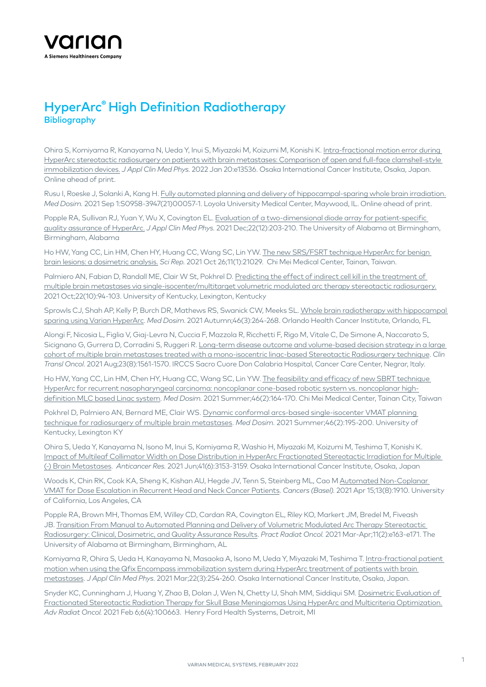

## HyperArc® High Definition Radiotherapy **Bibliography**

Ohira S, Komiyama R, Kanayama N, Ueda Y, Inui S, Miyazaki M, Koizumi M, Konishi K. [Intra-fractional motion error during](https://pubmed.ncbi.nlm.nih.gov/35049125/)  [HyperArc stereotactic radiosurgery on patients with brain metastases: Comparison of open and full-face clamshell-style](https://pubmed.ncbi.nlm.nih.gov/35049125/)  [immobilization devices.](https://pubmed.ncbi.nlm.nih.gov/35049125/) *J Appl Clin Med Phys.* 2022 Jan 20:e13536. Osaka International Cancer Institute, Osaka, Japan. Online ahead of print.

Rusu I, Roeske J, Solanki A, Kang H. [Fully automated planning and delivery of hippocampal-sparing whole brain irradiation.](https://pubmed.ncbi.nlm.nih.gov/35049125/) *Med Dosim.* 2021 Sep 1:S0958-3947(21)00057-1. Loyola University Medical Center, Maywood, IL. Online ahead of print.

Popple RA, Sullivan RJ, Yuan Y, Wu X, Covington EL. Evaluation of a two-dimensional diode array for patient-specific [quality assurance of HyperArc.](https://pubmed.ncbi.nlm.nih.gov/34725909/) *J Appl Clin Med Phys.* 2021 Dec;22(12):203-210. The University of Alabama at Birmingham, Birmingham, Alabama

Ho HW, Yang CC, Lin HM, Chen HY, Huang CC, Wang SC, Lin YW. [The new SRS/FSRT technique HyperArc for benign](https://pubmed.ncbi.nlm.nih.gov/34702859/)  [brain lesions: a dosimetric analysis.](https://pubmed.ncbi.nlm.nih.gov/34702859/) *Sci Rep.* 2021 Oct 26;11(1):21029. Chi Mei Medical Center, Tainan, Taiwan.

Palmiero AN, Fabian D, Randall ME, Clair W St, Pokhrel D. [Predicting the effect of indirect cell kill in the treatment of](https://pubmed.ncbi.nlm.nih.gov/34498359/)  [multiple brain metastases via single-isocenter/multitarget volumetric modulated arc therapy stereotactic radiosurgery.](https://pubmed.ncbi.nlm.nih.gov/34498359/) 2021 Oct;22(10):94-103. University of Kentucky, Lexington, Kentucky

Sprowls CJ, Shah AP, Kelly P, Burch DR, Mathews RS, Swanick CW, Meeks SL. [Whole brain radiotherapy with hippocampal](http://Whole brain radiotherapy with hippocampal sparing using Varian HyperArc)  [sparing using Varian HyperArc](http://Whole brain radiotherapy with hippocampal sparing using Varian HyperArc). *Med Dosim*. 2021 Autumn;46(3):264-268. Orlando Health Cancer Institute, Orlando, FL

Alongi F, Nicosia L, Figlia V, Giaj-Levra N, Cuccia F, Mazzola R, Ricchetti F, Rigo M, Vitale C, De Simone A, Naccarato S, Sicignano G, Gurrera D, Corradini S, Ruggeri R. Long-term disease outcome and volume-based decision strategy in a large [cohort of multiple brain metastases treated with a mono-isocentric linac-based Stereotactic Radiosurgery technique](https://pubmed.ncbi.nlm.nih.gov/33570720/). *Clin Transl Oncol.* 2021 Aug;23(8):1561-1570. IRCCS Sacro Cuore Don Calabria Hospital, Cancer Care Center, Negrar, Italy.

Ho HW, Yang CC, Lin HM, Chen HY, Huang CC, Wang SC, Lin YW. [The feasibility and efficacy of new SBRT technique](https://pubmed.ncbi.nlm.nih.gov/33208290/)  [HyperArc for recurrent nasopharyngeal carcinoma: noncoplanar cone-based robotic system vs. noncoplanar high](https://pubmed.ncbi.nlm.nih.gov/33208290/)[definition MLC based Linac system](https://pubmed.ncbi.nlm.nih.gov/33208290/). *Med Dosim.* 2021 Summer;46(2):164-170. Chi Mei Medical Center, Tainan City, Taiwan

Pokhrel D, Palmiero AN, Bernard ME, Clair WS. [Dynamic conformal arcs-based single-isocenter VMAT planning](https://pubmed.ncbi.nlm.nih.gov/33303353/)  [technique for radiosurgery of multiple brain metastases](https://pubmed.ncbi.nlm.nih.gov/33303353/). *Med Dosim.* 2021 Summer;46(2):195-200. University of Kentucky, Lexington KY

Ohira S, Ueda Y, Kanayama N, Isono M, Inui S, Komiyama R, Washio H, Miyazaki M, Koizumi M, Teshima T, Konishi K. [Impact of Multileaf Collimator Width on Dose Distribution in HyperArc Fractionated Stereotactic Irradiation for Multiple](https://pubmed.ncbi.nlm.nih.gov/34083310/)  [\(-\) Brain Metastases](https://pubmed.ncbi.nlm.nih.gov/34083310/). *Anticancer Res.* 2021 Jun;41(6):3153-3159. Osaka International Cancer Institute, Osaka, Japan

Woods K, Chin RK, Cook KA, Sheng K, Kishan AU, Hegde JV, Tenn S, Steinberg ML, Cao M [Automated Non-Coplanar](https://pubmed.ncbi.nlm.nih.gov/33921062/)  [VMAT for Dose Escalation in Recurrent Head and Neck Cancer Patients](https://pubmed.ncbi.nlm.nih.gov/33921062/). *Cancers (Basel).* 2021 Apr 15;13(8):1910. University of California, Los Angeles, CA

Popple RA, Brown MH, Thomas EM, Willey CD, Cardan RA, Covington EL, Riley KO, Markert JM, Bredel M, Fiveash JB. [Transition From Manual to Automated Planning and Delivery of Volumetric Modulated Arc Therapy Stereotactic](https://pubmed.ncbi.nlm.nih.gov/33632630/)  [Radiosurgery: Clinical, Dosimetric, and Quality Assurance Results](https://pubmed.ncbi.nlm.nih.gov/33632630/). *Pract Radiat Oncol.* 2021 Mar-Apr;11(2):e163-e171. The University of Alabama at Birmingham, Birmingham, AL

Komiyama R, Ohira S, Ueda H, Kanayama N, Masaoka A, Isono M, Ueda Y, Miyazaki M, Teshima T. [Intra-fractional patient](https://pubmed.ncbi.nlm.nih.gov/33656261/)  [motion when using the Qfix Encompass immobilization system during HyperArc treatment of patients with brain](https://pubmed.ncbi.nlm.nih.gov/33656261/)  [metastases](https://pubmed.ncbi.nlm.nih.gov/33656261/). *J Appl Clin Med Phys.* 2021 Mar;22(3):254-260. Osaka International Cancer Institute, Osaka, Japan.

Snyder KC, Cunningham J, Huang Y, Zhao B, Dolan J, Wen N, Chetty IJ, Shah MM, Siddiqui SM. [Dosimetric Evaluation of](https://pubmed.ncbi.nlm.nih.gov/33997481/)  [Fractionated Stereotactic Radiation Therapy for Skull Base Meningiomas Using HyperArc and Multicriteria Optimization.](https://pubmed.ncbi.nlm.nih.gov/33997481/) *Adv Radiat Oncol.* 2021 Feb 6;6(4):100663. Henry Ford Health Systems, Detroit, MI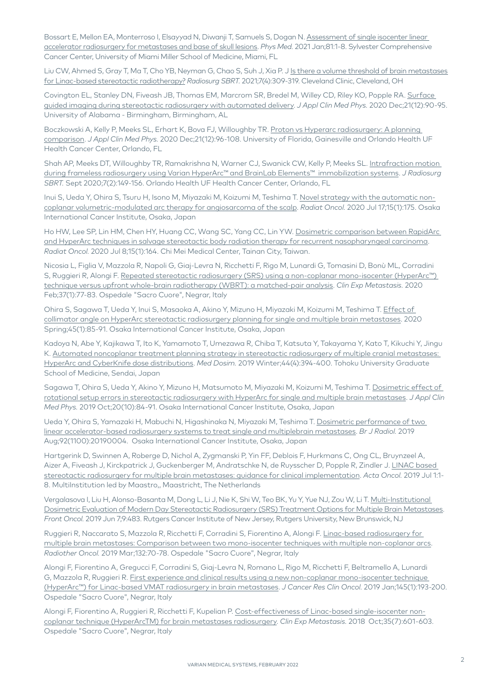Bossart E, Mellon EA, Monterroso I, Elsayyad N, Diwanji T, Samuels S, Dogan N. Assessment of single isocenter linear [accelerator radiosurgery for metastases and base of skull lesions](https://pubmed.ncbi.nlm.nih.gov/33278764/). *Phys Med.* 2021 Jan;81:1-8. Sylvester Comprehensive Cancer Center, University of Miami Miller School of Medicine, Miami, FL

Liu CW, Ahmed S, Gray T, Ma T, Cho YB, Neyman G, Chao S, Suh J, Xia P. J [Is there a volume threshold of brain metastases](https://pubmed.ncbi.nlm.nih.gov/34631232/)  [for Linac-based stereotactic radiotherapy?](https://pubmed.ncbi.nlm.nih.gov/34631232/) *Radiosurg SBRT.* 2021;7(4):309-319. Cleveland Clinic, Cleveland, OH

Covington EL, Stanley DN, Fiveash JB, Thomas EM, Marcrom SR, Bredel M, Willey CD, Riley KO, Popple RA. [Surface](https://pubmed.ncbi.nlm.nih.gov/33095971/)  [guided imaging during stereotactic radiosurgery with automated delivery.](https://pubmed.ncbi.nlm.nih.gov/33095971/) *J Appl Clin Med Phys.* 2020 Dec;21(12):90-95. University of Alabama - Birmingham, Birmingham, AL

Boczkowski A, Kelly P, Meeks SL, Erhart K, Bova FJ, Willoughby TR. [Proton vs Hyperarc radiosurgery: A planning](https://pubmed.ncbi.nlm.nih.gov/33151014/)  [comparison](https://pubmed.ncbi.nlm.nih.gov/33151014/). *J Appl Clin Med Phys.* 2020 Dec;21(12):96-108. University of Florida, Gainesville and Orlando Health UF Health Cancer Center, Orlando, FL

Shah AP, Meeks DT, Willoughby TR, Ramakrishna N, Warner CJ, Swanick CW, Kelly P, Meeks SL. [Intrafraction motion](https://pubmed.ncbi.nlm.nih.gov/33282468/)  [during frameless radiosurgery using Varian HyperArc™ and BrainLab Elements™ immobilization systems.](https://pubmed.ncbi.nlm.nih.gov/33282468/) *J Radiosurg SBRT.* Sept 2020;7(2):149-156. Orlando Health UF Health Cancer Center, Orlando, FL

Inui S, Ueda Y, Ohira S, Tsuru H, Isono M, Miyazaki M, Koizumi M, Teshima T. [Novel strategy with the automatic non](https://pubmed.ncbi.nlm.nih.gov/32680542/)[coplanar volumetric-modulated arc therapy for angiosarcoma of the scalp.](https://pubmed.ncbi.nlm.nih.gov/32680542/) *Radiat Oncol.* 2020 Jul 17;15(1):175. Osaka International Cancer Institute, Osaka, Japan

Ho HW, Lee SP, Lin HM, Chen HY, Huang CC, Wang SC, Yang CC, Lin YW. [Dosimetric comparison between RapidArc](https://pubmed.ncbi.nlm.nih.gov/32641082/)  [and HyperArc techniques in salvage stereotactic body radiation therapy for recurrent nasopharyngeal carcinoma](https://pubmed.ncbi.nlm.nih.gov/32641082/). *Radiat Oncol.* 2020 Jul 8;15(1):164. Chi Mei Medical Center, Tainan City, Taiwan.

Nicosia L, Figlia V, Mazzola R, Napoli G, Giaj-Levra N, Ricchetti F, Rigo M, Lunardi G, Tomasini D, Bonù ML, Corradini S, Ruggieri R, Alongi F. Repeated stereotactic radiosurgery (SRS) using a non-coplanar mono-isocenter (HyperArc™) [technique versus upfront whole-brain radiotherapy \(WBRT\): a matched-pair analysis.](https://www.ncbi.nlm.nih.gov/pubmed/31691873) *Clin Exp Metastasis.* 2020 Feb;37(1):77-83. Ospedale "Sacro Cuore", Negrar, Italy

Ohira S, Sagawa T, Ueda Y, Inui S, Masaoka A, Akino Y, Mizuno H, Miyazaki M, Koizumi M, Teshima T. [Effect of](https://www.ncbi.nlm.nih.gov/pubmed/31378401)  [collimator angle on HyperArc stereotactic radiosurgery planning for single and multiple brain metastases.](https://www.ncbi.nlm.nih.gov/pubmed/31378401) 2020 Spring;45(1):85-91. Osaka International Cancer Institute, Osaka, Japan

Kadoya N, Abe Y, Kajikawa T, Ito K, Yamamoto T, Umezawa R, Chiba T, Katsuta Y, Takayama Y, Kato T, Kikuchi Y, Jingu K. [Automated noncoplanar treatment planning strategy in stereotactic radiosurgery of multiple cranial metastases:](https://www.ncbi.nlm.nih.gov/pubmed/30827765)  [HyperArc and CyberKnife dose distributions.](https://www.ncbi.nlm.nih.gov/pubmed/30827765) *Med Dosim.* 2019 Winter;44(4):394-400. Tohoku University Graduate School of Medicine, Sendai, Japan

Sagawa T, Ohira S, Ueda Y, Akino Y, Mizuno H, Matsumoto M, Miyazaki M, Koizumi M, Teshima T. Dosimetric effect of [rotational setup errors in stereotactic radiosurgery with HyperArc for single and multiple brain metastases](https://www.ncbi.nlm.nih.gov/pubmed/31507075). *J Appl Clin Med Phys.* 2019 Oct;20(10):84-91. Osaka International Cancer Institute, Osaka, Japan

Ueda Y, Ohira S, Yamazaki H, Mabuchi N, Higashinaka N, Miyazaki M, Teshima T. [Dosimetric performance of two](https://www.ncbi.nlm.nih.gov/pubmed/31188018)  [linear accelerator-based radiosurgery systems to treat single and multiplebrain metastases.](https://www.ncbi.nlm.nih.gov/pubmed/31188018) *Br J Radiol.* 2019 Aug;92(1100):20190004. Osaka International Cancer Institute, Osaka, Japan

Hartgerink D, Swinnen A, Roberge D, Nichol A, Zygmanski P, Yin FF, Deblois F, Hurkmans C, Ong CL, Bruynzeel A, Aizer A, Fiveash J, Kirckpatrick J, Guckenberger M, Andratschke N, de Ruysscher D, Popple R, Zindler J. [LINAC based](https://www.ncbi.nlm.nih.gov/pubmed/31257960)  [stereotactic radiosurgery for multiple brain metastases: guidance for clinical implementation.](https://www.ncbi.nlm.nih.gov/pubmed/31257960) *Acta Oncol.* 2019 Jul 1:1- 8. MultiInstitution led by Maastro,, Maastricht, The Netherlands

Vergalasova I, Liu H, Alonso-Basanta M, Dong L, Li J, Nie K, Shi W, Teo BK, Yu Y, Yue NJ, Zou W, Li T. [Multi-Institutional](https://www.ncbi.nlm.nih.gov/pubmed/31231614)  [Dosimetric Evaluation of Modern Day Stereotactic Radiosurgery \(SRS\) Treatment Options for Multiple Brain Metastases](https://www.ncbi.nlm.nih.gov/pubmed/31231614). *Front Oncol.* 2019 Jun 7;9:483. Rutgers Cancer Institute of New Jersey, Rutgers University, New Brunswick, NJ

Ruggieri R, Naccarato S, Mazzola R, Ricchetti F, Corradini S, Fiorentino A, Alongi F. [Linac-based radiosurgery for](https://www.ncbi.nlm.nih.gov/pubmed/30825972)  [multiple brain metastases: Comparison between two mono-isocenter techniques with multiple non-coplanar arcs.](https://www.ncbi.nlm.nih.gov/pubmed/30825972) *Radiother Oncol.* 2019 Mar;132:70-78. Ospedale "Sacro Cuore", Negrar, Italy

Alongi F, Fiorentino A, Gregucci F, Corradini S, Giaj-Levra N, Romano L, Rigo M, Ricchetti F, Beltramello A, Lunardi G, Mazzola R, Ruggieri R. [First experience and clinical results using a new non-coplanar mono-isocenter technique](https://www.ncbi.nlm.nih.gov/pubmed/30382369)  [\(HyperArc™\) for Linac-based VMAT radiosurgery in brain metastases](https://www.ncbi.nlm.nih.gov/pubmed/30382369). *J Cancer Res Clin Oncol.* 2019 Jan;145(1):193-200. Ospedale "Sacro Cuore", Negrar, Italy

Alongi F, Fiorentino A, Ruggieri R, Ricchetti F, Kupelian P. [Cost-effectiveness of Linac-based single-isocenter non](https://www.ncbi.nlm.nih.gov/pubmed/30143886)[coplanar technique \(HyperArcTM\) for brain metastases radiosurgery.](https://www.ncbi.nlm.nih.gov/pubmed/30143886) *Clin Exp Metastasis.* 2018 Oct;35(7):601-603. Ospedale "Sacro Cuore", Negrar, Italy